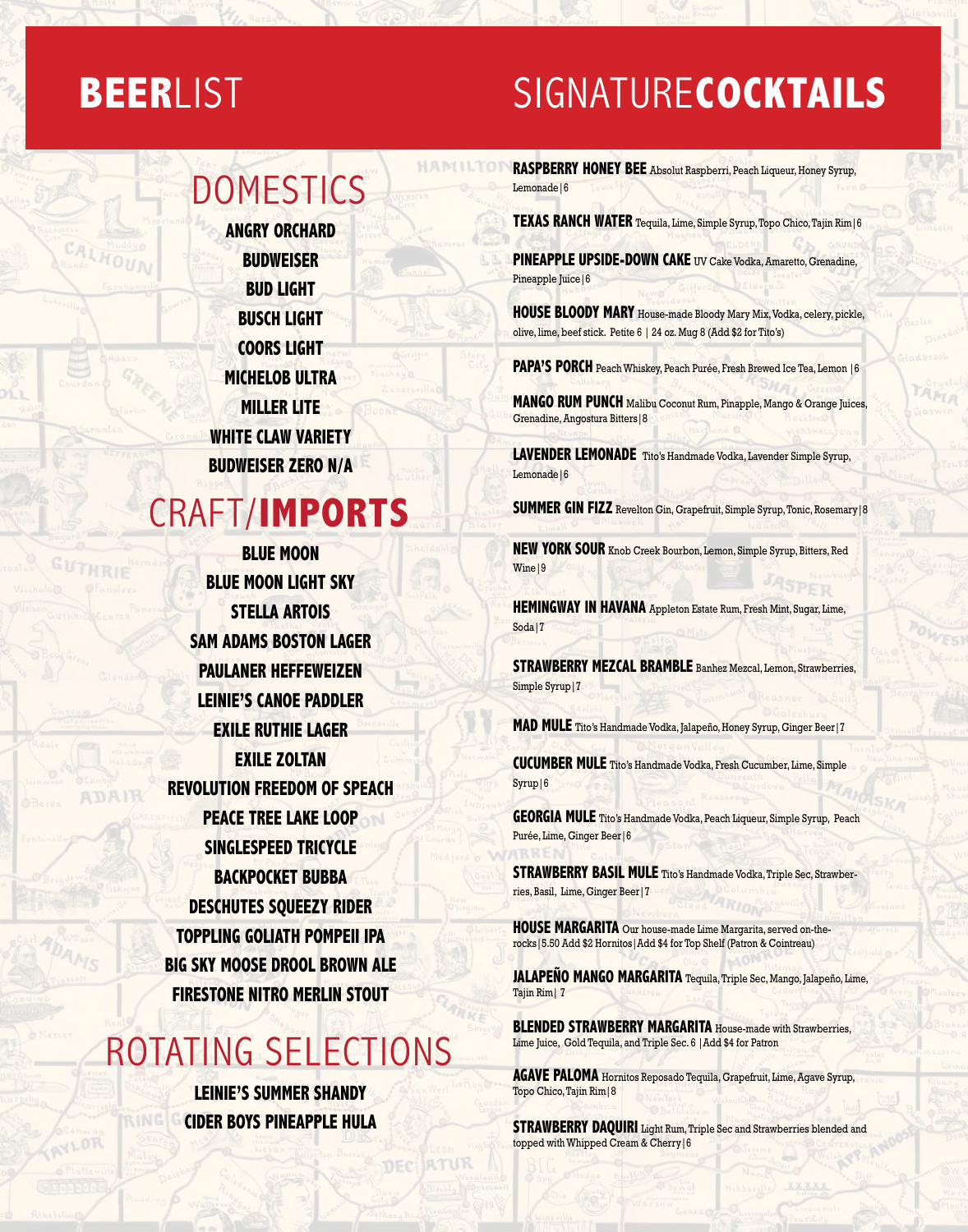## **BEER**LIST

**CALHOU** 

**ADAIR** 

## SIGNATURE**COCKTAILS**

#### **DOMESTICS**

**Angry Orchard Budweiser Bud Light Busch Light Coors Light Michelob Ultra Miller Lite white claw variety BUDWEISER ZERO N/A**

#### CRAFT/**IMPORTS**

**Blue Moon BLUE MOON LIGHT SKY Stella Artois Sam Adams Boston Lager Paulaner Heffeweizen LEINIE'S CANOE PADDLER Exile Ruthie LAGER EXILE ZOLTAN REVOLUTION FREEDOM OF SPEACH PEACE TREE LAKE LOOP SINGLESPEED TRICYCLE BACKPOCKET BUBBA DEsCHUTES SQUEEZY RIDER Toppling Goliath POMPEII IPA Big Sky Moose Drool BROWN ALE FIRESTONE NITRO MERLIN STOUT**

## ROTATING SELECTIONS

**LEINIE'S SUMMER SHANDY CIDER BOYS PINEAPPLE HULA**

RTUR

DEC

**RASPBERRY HONEY BEE** Absolut Raspberri, Peach Liqueur, Honey Syrup, Lemonade|6

**Texas RANCH WATER** Tequila, Lime, Simple Syrup, Topo Chico, Tajin Rim|6

**pineapple Upside-down cake** UV Cake Vodka, Amaretto, Grenadine, Pineapple Juice | 6

**HOUSE BLOODY MARY** House-made Bloody Mary Mix, Vodka, celery, pickle, olive, lime, beef stick. Petite 6 | 24 oz. Mug 8 (Add \$2 for Tito's)

**PAPA'S PORCH** Peach Whiskey, Peach Purée, Fresh Brewed Ice Tea, Lemon | 6

**Mango Rum punch** Malibu Coconut Rum, Pinapple, Mango & Orange Juices, Grenadine, Angostura Bitters|8

**LAVENDER LEMONADE** Tito's Handmade Vodka, Lavender Simple Syrup, Lemonade|6

**SUMMER GIN FIZZ** Revelton Gin, Grapefruit, Simple Syrup, Tonic, Rosemary | 8

**NEW YORK SOUR** Knob Creek Bourbon, Lemon, Simple Syrup, Bitters, Red Wine<sup>19</sup>

**HEMINGWAY IN HAVANA** Appleton Estate Rum, Fresh Mint, Sugar, Lime, Soda<sup>|7</sup>

**STRAWBERRY MEZCAL BRAMBLE** Banhez Mezcal, Lemon, Strawberries, Simple Syrup|7

**Mad MULE** Tito's Handmade Vodka, Jalapeño, Honey Syrup, Ginger Beer|7

**cucumber MULE** Tito's Handmade Vodka, Fresh Cucumber, Lime, Simple Syrup<sup>16</sup>

**GEORGIA MULE** Tito's Handmade Vodka, Peach Liqueur, Simple Syrup, Peach Purée, Lime, Ginger Beer|6

**STRAWBERRY BASIL MULE** Tito's Handmade Vodka, Triple Sec, Strawberries, Basil, Lime, Ginger Beer|7

**HOUSE MARGARITA** Our house-made Lime Margarita, served on-therocks|5.50 Add \$2 Hornitos|Add \$4 for Top Shelf (Patron & Cointreau)

**JalaPeño Mango MARGARITA** Tequila, Triple Sec, Mango, Jalapeño, Lime, Tajin Rim| 7

**BLENDED STRAWBERRY MARGARITA** House-made with Strawberries. Lime Juice, Gold Tequila, and Triple Sec. 6 |Add \$4 for Patron

**Agave Paloma** Hornitos Reposado Tequila, Grapefruit, Lime, Agave Syrup, Topo Chico, Tajin Rim|8

**STRAWBERRY DAQUIRI** Light Rum, Triple Sec and Strawberries blended and topped with Whipped Cream & Cherry|6